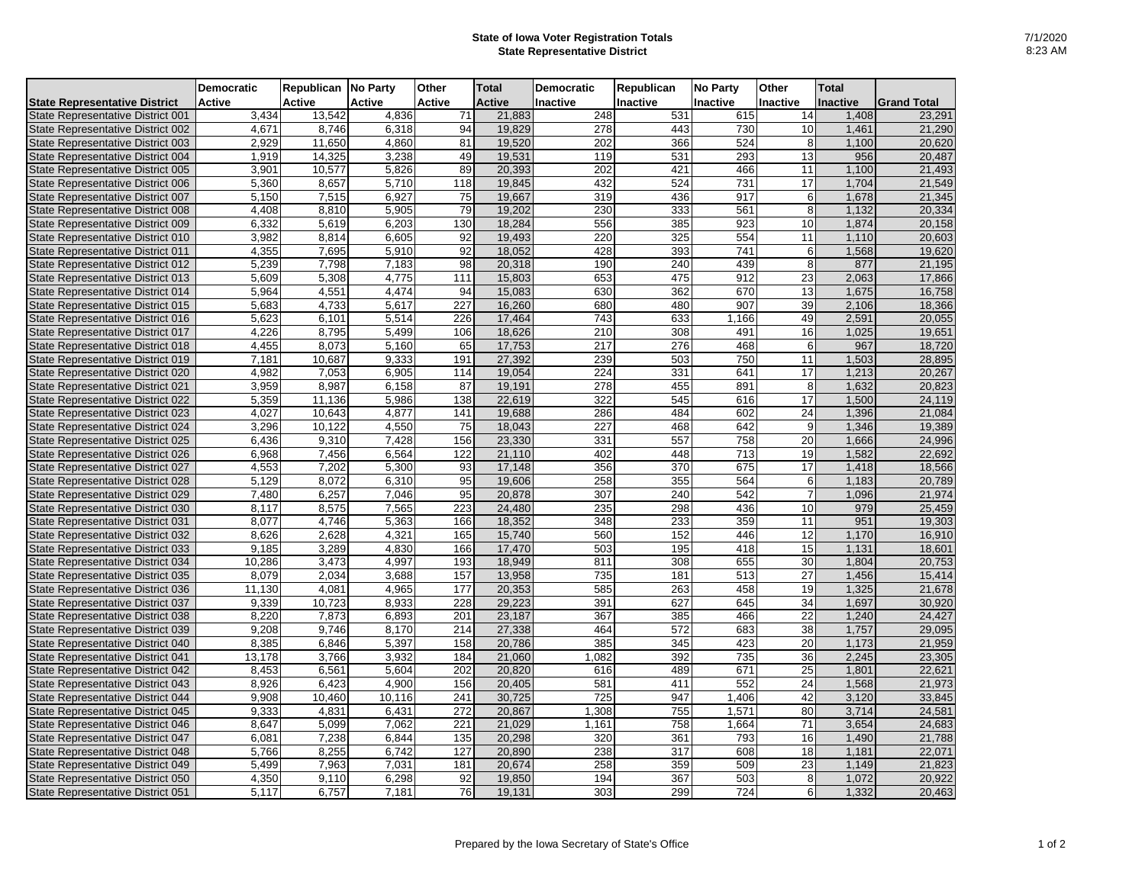## **State of Iowa Voter Registration Totals State Representative District**

|                                          | <b>Democratic</b> | Republican No Party |               | Other            | <b>Total</b>  | <b>Democratic</b> | Republican | <b>No Party</b> | Other           | <b>Total</b> |                    |
|------------------------------------------|-------------------|---------------------|---------------|------------------|---------------|-------------------|------------|-----------------|-----------------|--------------|--------------------|
| <b>State Representative District</b>     | <b>Active</b>     | Active              | <b>Active</b> | <b>Active</b>    | <b>Active</b> | Inactive          | Inactive   | Inactive        | <b>Inactive</b> | Inactive     | <b>Grand Total</b> |
| <b>State Representative District 001</b> | 3,434             | 13,542              | 4,836         | 71               | 21,883        | 248               | 531        | 615             | 14              | 1,408        | 23,291             |
| State Representative District 002        | 4,671             | 8,746               | 6,318         | 94               | 19,829        | 278               | 443        | 730             | 10              | 1,461        | 21,290             |
| State Representative District 003        | 2,929             | 11,650              | 4,860         | 81               | 19,520        | 202               | 366        | 524             | 8               | 1.100        | 20,620             |
| State Representative District 004        | 1,919             | 14,325              | 3,238         | 49               | 19,531        | 119               | 531        | 293             | 13              | 956          | 20,487             |
| State Representative District 005        | 3,901             | 10,577              | 5,826         | 89               | 20,393        | 202               | 421        | 466             | 11              | 1,100        | 21,493             |
| State Representative District 006        | 5,360             | 8,657               | 5,710         | 118              | 19,845        | 432               | 524        | 731             | 17              | 1,704        | 21,549             |
| <b>State Representative District 007</b> | 5,150             | 7,515               | 6,927         | 75               | 19,667        | 319               | 436        | 917             | 6               | 1,678        | 21,345             |
| <b>State Representative District 008</b> | 4.408             | 8.810               | 5,905         | 79               | 19,202        | 230               | 333        | 561             | 8               | 1,132        | 20,334             |
| State Representative District 009        | 6,332             | 5,619               | 6,203         | 130              | 18,284        | 556               | 385        | 923             | 10              | 1,874        | 20,158             |
| State Representative District 010        | 3,982             | 8,814               | 6,605         | 92               | 19,493        | 220               | 325        | 554             | 11              | 1,110        | 20,603             |
| State Representative District 011        | 4,355             | 7.695               | 5,910         | $\overline{92}$  | 18,052        | 428               | 393        | 741             | 6               | 1,568        | 19,620             |
| <b>State Representative District 012</b> | 5,239             | 7,798               | 7,183         | 98               | 20,318        | 190               | 240        | 439             | 8               | 877          | 21,195             |
| State Representative District 013        | 5.609             | 5.308               | 4,775         | 111              | 15.803        | 653               | 475        | 912             | 23              | 2,063        | 17.866             |
| <b>State Representative District 014</b> | 5,964             | 4,551               | 4,474         | 94               | 15,083        | 630               | 362        | 670             | 13              | 1,675        | 16,758             |
| State Representative District 015        | 5,683             | 4,733               | 5,617         | $\overline{227}$ | 16,260        | 680               | 480        | 907             | 39              | 2,106        | 18,366             |
| State Representative District 016        | 5.623             | 6.101               | 5.514         | 226              | 17,464        | 743               | 633        | 1,166           | 49              | 2.591        | 20,055             |
| <b>State Representative District 017</b> | 4,226             | 8,795               | 5,499         | 106              | 18,626        | $\overline{210}$  | 308        | 491             | 16              | 1.025        | 19,651             |
| <b>State Representative District 018</b> | 4,455             | 8,073               | 5,160         | 65               | 17,753        | 217               | 276        | 468             | 6               | 967          | 18,720             |
| State Representative District 019        | 7,181             | 10,687              | 9,333         | 191              | 27,392        | 239               | 503        | 750             | 11              | 1,503        | 28,895             |
| State Representative District 020        | 4,982             | 7,053               | 6,905         | 114              | 19,054        | 224               | 331        | 641             | 17              | 1,213        | 20,267             |
| <b>State Representative District 021</b> | 3,959             | 8,987               | 6,158         | 87               | 19,191        | 278               | 455        | 891             | 8               | 1,632        | 20,823             |
| <b>State Representative District 022</b> | 5,359             | 11,136              | 5,986         | 138              | 22,619        | 322               | 545        | 616             | $\overline{17}$ | 1,500        | 24,119             |
| State Representative District 023        | 4,027             | 10,643              | 4,877         | 141              | 19,688        | 286               | 484        | 602             | 24              | 1,396        | 21,084             |
| State Representative District 024        | 3,296             | 10,122              | 4,550         | 75               | 18,043        | 227               | 468        | 642             | 9               | 1,346        | 19,389             |
| State Representative District 025        | 6,436             | 9,310               | 7,428         | 156              | 23,330        | 331               | 557        | 758             | 20              | 1,666        | 24,996             |
| State Representative District 026        | 6,968             | 7,456               | 6,564         | 122              | 21,110        | 402               | 448        | 713             | 19              | 1,582        | 22,692             |
| <b>State Representative District 027</b> | 4,553             | 7,202               | 5,300         | 93               | 17,148        | 356               | 370        | 675             | 17              | 1,418        | 18,566             |
| State Representative District 028        | 5,129             | 8.072               | 6,310         | 95               | 19,606        | 258               | 355        | 564             | 6               | 1,183        | 20,789             |
| <b>State Representative District 029</b> | 7,480             | 6,257               | 7,046         | 95               | 20,878        | 307               | 240        | 542             | $\overline{7}$  | 1,096        | 21,974             |
| State Representative District 030        | 8.117             | 8.575               | 7,565         | 223              | 24.480        | 235               | 298        | 436             | 10              | 979          | 25.459             |
| <b>State Representative District 031</b> | 8,077             | 4,746               | 5,363         | 166              | 18,352        | 348               | 233        | 359             | 11              | 951          | 19,303             |
| <b>State Representative District 032</b> | 8,626             | 2,628               | 4,321         | 165              | 15,740        | 560               | 152        | 446             | 12              | 1,170        | 16,910             |
| State Representative District 033        | 9.185             | 3,289               | 4,830         | 166              | 17.470        | 503               | 195        | 418             | 15              | 1,131        | 18,601             |
| State Representative District 034        | 10,286            | 3,473               | 4,997         | 193              | 18,949        | 811               | 308        | 655             | 30              | 1,804        | 20,753             |
| State Representative District 035        | 8,079             | 2,034               | 3,688         | 157              | 13,958        | 735               | 181        | 513             | 27              | 1,456        | 15,414             |
| State Representative District 036        | 11.130            | 4.081               | 4.965         | 177              | 20,353        | 585               | 263        | 458             | 19              | 1,325        | 21,678             |
| <b>State Representative District 037</b> | 9,339             | 10,723              | 8,933         | 228              | 29,223        | 391               | 627        | 645             | 34              | 1,697        | 30,920             |
| State Representative District 038        | 8,220             | 7,873               | 6,893         | 201              | 23,187        | 367               | 385        | 466             | 22              | 1,240        | 24,427             |
| State Representative District 039        | 9,208             | 9,746               | 8,170         | 214              | 27,338        | 464               | 572        | 683             | 38              | 1,757        | 29,095             |
| State Representative District 040        | 8,385             | 6,846               | 5,397         | 158              | 20,786        | 385               | 345        | 423             | 20              | 1,173        | 21,959             |
| <b>State Representative District 041</b> | 13.178            | 3.766               | 3.932         | 184              | 21,060        | 1.082             | 392        | 735             | 36              | 2.245        | 23.305             |
| <b>State Representative District 042</b> | 8,453             | 6,561               | 5,604         | 202              | 20,820        | 616               | 489        | 671             | $\overline{25}$ | 1,801        | 22,621             |
| <b>State Representative District 043</b> | 8,926             | 6,423               | 4,900         | 156              | 20,405        | 581               | 411        | 552             | 24              | 1,568        | 21,973             |
| <b>State Representative District 044</b> | 9,908             | 10.460              | 10.116        | 241              | 30,725        | $\overline{725}$  | 947        | 1.406           | 42              | 3,120        | 33.845             |
| State Representative District 045        | 9,333             | 4,831               | 6,431         | $\overline{272}$ | 20,867        | 1,308             | 755        | 1,571           | 80              | 3,714        | 24,581             |
| State Representative District 046        | 8,647             | 5,099               | 7,062         | 221              | 21,029        | 1,161             | 758        | 1,664           | 71              | 3,654        | 24,683             |
| <b>State Representative District 047</b> | 6,081             | 7,238               | 6,844         | 135              | 20,298        | 320               | 361        | 793             | 16              | 1,490        | 21,788             |
| State Representative District 048        | 5,766             | 8,255               | 6,742         | 127              | 20,890        | 238               | 317        | 608             | $\overline{18}$ | 1,181        | 22,071             |
| State Representative District 049        | 5,499             | 7,963               | 7,031         | 181              | 20,674        | 258               | 359        | 509             | 23              | 1,149        | 21,823             |
| State Representative District 050        | 4,350             | 9,110               | 6,298         | 92               | 19,850        | 194               | 367        | 503             | 8               | 1,072        | 20,922             |
| State Representative District 051        | 5,117             | 6,757               | 7,181         | 76               | 19,131        | 303               | 299        | 724             | 61              | 1,332        | 20,463             |